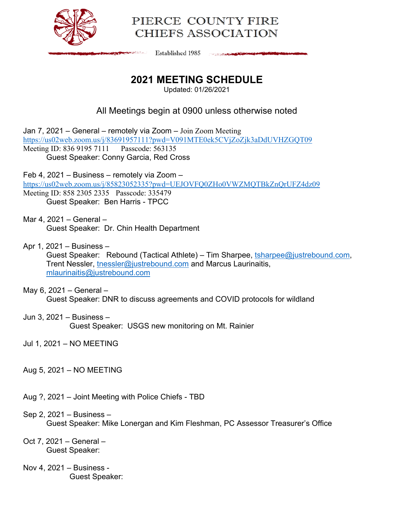

# PIERCE COUNTY FIRE CHIEFS ASSOCIATION

**Established 1985** The South of the Company of the Company

# **2021 MEETING SCHEDULE**

Updated: 01/26/2021

## All Meetings begin at 0900 unless otherwise noted

Jan 7, 2021 – General – remotely via Zoom – Join Zoom Meeting https://us02web.zoom.us/j/83691957111?pwd=V091MTE0ek5CVjZoZjk3aDdUVHZGQT09 Meeting ID: 836 9195 7111 Passcode: 563135 Guest Speaker: Conny Garcia, Red Cross

Feb 4, 2021 – Business – remotely via Zoom – https://us02web.zoom.us/j/85823052335?pwd=UEJOVFQ0ZHo0VWZMQTBkZnQrUFZ4dz09 Meeting ID: 858 2305 2335 Passcode: 335479 Guest Speaker: Ben Harris - TPCC

Mar 4, 2021 – General – Guest Speaker: Dr. Chin Health Department

Apr 1, 2021 – Business – Guest Speaker: Rebound (Tactical Athlete) – Tim Sharpee, tsharpee@justrebound.com, Trent Nessler, tnessler@justrebound.com and Marcus Laurinaitis, mlaurinaitis@justrebound.com

#### May 6, 2021 – General – Guest Speaker: DNR to discuss agreements and COVID protocols for wildland

### Jun 3, 2021 – Business –

Guest Speaker: USGS new monitoring on Mt. Rainier

Jul 1, 2021 – NO MEETING

- Aug 5, 2021 NO MEETING
- Aug ?, 2021 Joint Meeting with Police Chiefs TBD

### Sep 2, 2021 – Business –

Guest Speaker: Mike Lonergan and Kim Fleshman, PC Assessor Treasurer's Office

#### Oct 7, 2021 – General – Guest Speaker:

Nov 4, 2021 – Business - Guest Speaker: